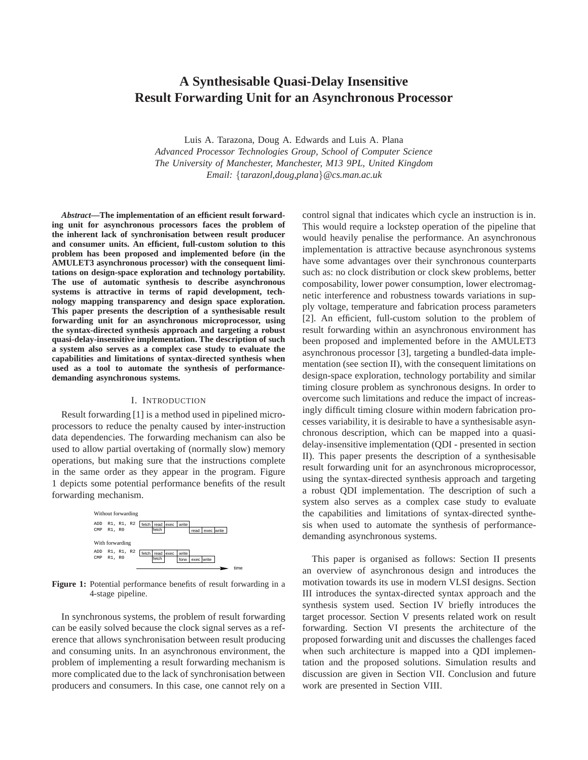# **A Synthesisable Quasi-Delay Insensitive Result Forwarding Unit for an Asynchronous Processor**

Luis A. Tarazona, Doug A. Edwards and Luis A. Plana *Advanced Processor Technologies Group, School of Computer Science The University of Manchester, Manchester, M13 9PL, United Kingdom Email:* {*tarazonl,doug,plana*}*@cs.man.ac.uk*

*Abstract***—The implementation of an efficient result forwarding unit for asynchronous processors faces the problem of the inherent lack of synchronisation between result producer and consumer units. An efficient, full-custom solution to this problem has been proposed and implemented before (in the AMULET3 asynchronous processor) with the consequent limitations on design-space exploration and technology portability. The use of automatic synthesis to describe asynchronous systems is attractive in terms of rapid development, technology mapping transparency and design space exploration. This paper presents the description of a synthesisable result forwarding unit for an asynchronous microprocessor, using the syntax-directed synthesis approach and targeting a robust quasi-delay-insensitive implementation. The description of such a system also serves as a complex case study to evaluate the capabilities and limitations of syntax-directed synthesis when used as a tool to automate the synthesis of performancedemanding asynchronous systems.**

## I. INTRODUCTION

Result forwarding [1] is a method used in pipelined microprocessors to reduce the penalty caused by inter-instruction data dependencies. The forwarding mechanism can also be used to allow partial overtaking of (normally slow) memory operations, but making sure that the instructions complete in the same order as they appear in the program. Figure 1 depicts some potential performance benefits of the result forwarding mechanism.



**Figure 1:** Potential performance benefits of result forwarding in a 4-stage pipeline.

In synchronous systems, the problem of result forwarding can be easily solved because the clock signal serves as a reference that allows synchronisation between result producing and consuming units. In an asynchronous environment, the problem of implementing a result forwarding mechanism is more complicated due to the lack of synchronisation between producers and consumers. In this case, one cannot rely on a control signal that indicates which cycle an instruction is in. This would require a lockstep operation of the pipeline that would heavily penalise the performance. An asynchronous implementation is attractive because asynchronous systems have some advantages over their synchronous counterparts such as: no clock distribution or clock skew problems, better composability, lower power consumption, lower electromagnetic interference and robustness towards variations in supply voltage, temperature and fabrication process parameters [2]. An efficient, full-custom solution to the problem of result forwarding within an asynchronous environment has been proposed and implemented before in the AMULET3 asynchronous processor [3], targeting a bundled-data implementation (see section II), with the consequent limitations on design-space exploration, technology portability and similar timing closure problem as synchronous designs. In order to overcome such limitations and reduce the impact of increasingly difficult timing closure within modern fabrication processes variability, it is desirable to have a synthesisable asynchronous description, which can be mapped into a quasidelay-insensitive implementation (QDI - presented in section II). This paper presents the description of a synthesisable result forwarding unit for an asynchronous microprocessor, using the syntax-directed synthesis approach and targeting a robust QDI implementation. The description of such a system also serves as a complex case study to evaluate the capabilities and limitations of syntax-directed synthesis when used to automate the synthesis of performancedemanding asynchronous systems.

This paper is organised as follows: Section II presents an overview of asynchronous design and introduces the motivation towards its use in modern VLSI designs. Section III introduces the syntax-directed syntax approach and the synthesis system used. Section IV briefly introduces the target processor. Section V presents related work on result forwarding. Section VI presents the architecture of the proposed forwarding unit and discusses the challenges faced when such architecture is mapped into a QDI implementation and the proposed solutions. Simulation results and discussion are given in Section VII. Conclusion and future work are presented in Section VIII.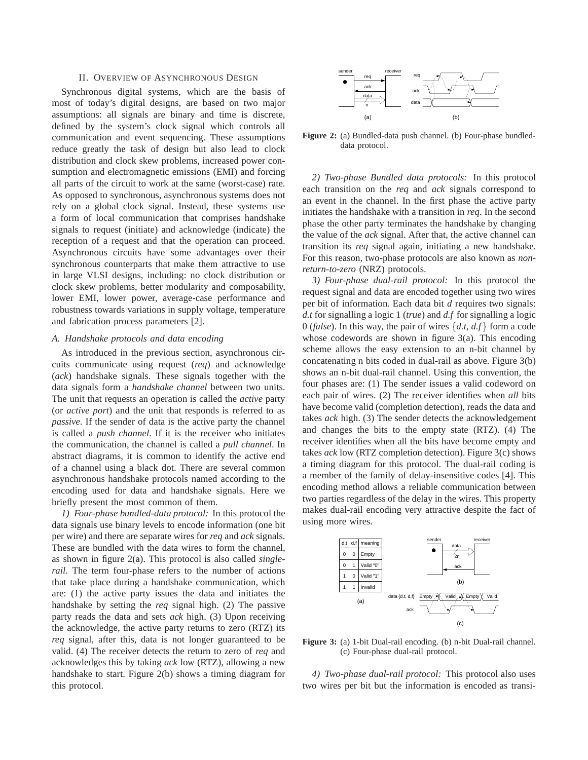# II. OVERVIEW OF ASYNCHRONOUS DESIGN

Synchronous digital systems, which are the basis of most of today's digital designs, are based on two major assumptions: all signals are binary and time is discrete, defined by the system's clock signal which controls all communication and event sequencing. These assumptions reduce greatly the task of design but also lead to clock distribution and clock skew problems, increased power consumption and electromagnetic emissions (EMI) and forcing all parts of the circuit to work at the same (worst-case) rate. As opposed to synchronous, asynchronous systems does not rely on a global clock signal. Instead, these systems use a form of local communication that comprises handshake signals to request (initiate) and acknowledge (indicate) the reception of a request and that the operation can proceed. Asynchronous circuits have some advantages over their synchronous counterparts that make them attractive to use in large VLSI designs, including: no clock distribution or clock skew problems, better modularity and composability, lower EMI, lower power, average-case performance and robustness towards variations in supply voltage, temperature and fabrication process parameters [2].

#### *A. Handshake protocols and data encoding*

As introduced in the previous section, asynchronous circuits communicate using request (*req*) and acknowledge (*ack*) handshake signals. These signals together with the data signals form a *handshake channel* between two units. The unit that requests an operation is called the *active* party (or *active port*) and the unit that responds is referred to as *passive*. If the sender of data is the active party the channel is called a *push channel*. If it is the receiver who initiates the communication, the channel is called a *pull channel*. In abstract diagrams, it is common to identify the active end of a channel using a black dot. There are several common asynchronous handshake protocols named according to the encoding used for data and handshake signals. Here we briefly present the most common of them.

*1) Four-phase bundled-data protocol:* In this protocol the data signals use binary levels to encode information (one bit per wire) and there are separate wires for *req* and *ack* signals. These are bundled with the data wires to form the channel, as shown in figure 2(a). This protocol is also called *singlerail*. The term four-phase refers to the number of actions that take place during a handshake communication, which are: (1) the active party issues the data and initiates the handshake by setting the *req* signal high. (2) The passive party reads the data and sets *ack* high. (3) Upon receiving the acknowledge, the active party returns to zero (RTZ) its *req* signal, after this, data is not longer guaranteed to be valid. (4) The receiver detects the return to zero of *req* and acknowledges this by taking *ack* low (RTZ), allowing a new handshake to start. Figure 2(b) shows a timing diagram for this protocol.



**Figure 2:** (a) Bundled-data push channel. (b) Four-phase bundleddata protocol.

*2) Two-phase Bundled data protocols:* In this protocol each transition on the *req* and *ack* signals correspond to an event in the channel. In the first phase the active party initiates the handshake with a transition in *req*. In the second phase the other party terminates the handshake by changing the value of the *ack* signal. After that, the active channel can transition its *req* signal again, initiating a new handshake. For this reason, two-phase protocols are also known as *nonreturn-to-zero* (NRZ) protocols.

*3) Four-phase dual-rail protocol:* In this protocol the request signal and data are encoded together using two wires per bit of information. Each data bit *d* requires two signals: *d.t* for signalling a logic 1 (*true*) and *d.f* for signalling a logic 0 (*false*). In this way, the pair of wires {*d.t*, *d.f* } form a code whose codewords are shown in figure 3(a). This encoding scheme allows the easy extension to an n-bit channel by concatenating n bits coded in dual-rail as above. Figure 3(b) shows an n-bit dual-rail channel. Using this convention, the four phases are: (1) The sender issues a valid codeword on each pair of wires. (2) The receiver identifies when *all* bits have become valid (completion detection), reads the data and takes *ack* high. (3) The sender detects the acknowledgement and changes the bits to the empty state (RTZ). (4) The receiver identifies when all the bits have become empty and takes *ack* low (RTZ completion detection). Figure 3(c) shows a timing diagram for this protocol. The dual-rail coding is a member of the family of delay-insensitive codes [4]. This encoding method allows a reliable communication between two parties regardless of the delay in the wires. This property makes dual-rail encoding very attractive despite the fact of using more wires.



**Figure 3:** (a) 1-bit Dual-rail encoding. (b) n-bit Dual-rail channel. (c) Four-phase dual-rail protocol.

*4) Two-phase dual-rail protocol:* This protocol also uses two wires per bit but the information is encoded as transi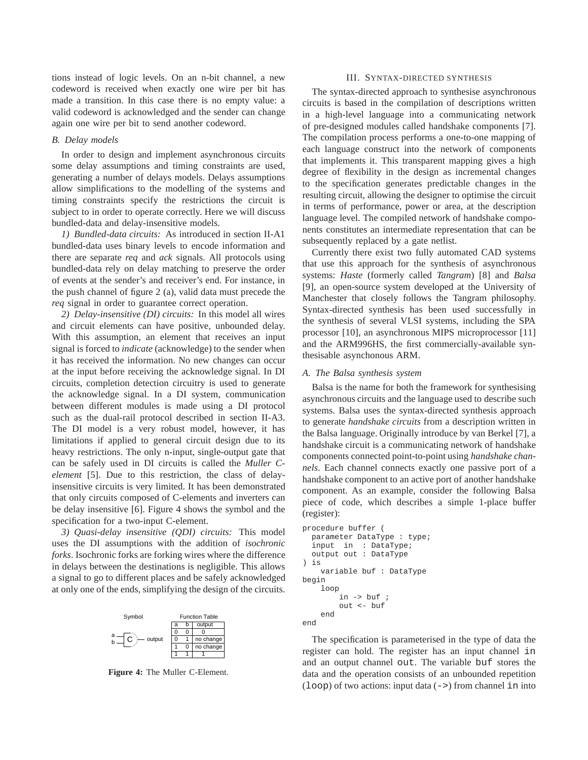tions instead of logic levels. On an n-bit channel, a new codeword is received when exactly one wire per bit has made a transition. In this case there is no empty value: a valid codeword is acknowledged and the sender can change again one wire per bit to send another codeword.

#### *B. Delay models*

In order to design and implement asynchronous circuits some delay assumptions and timing constraints are used, generating a number of delays models. Delays assumptions allow simplifications to the modelling of the systems and timing constraints specify the restrictions the circuit is subject to in order to operate correctly. Here we will discuss bundled-data and delay-insensitive models.

*1) Bundled-data circuits:* As introduced in section II-A1 bundled-data uses binary levels to encode information and there are separate *req* and *ack* signals. All protocols using bundled-data rely on delay matching to preserve the order of events at the sender's and receiver's end. For instance, in the push channel of figure 2 (a), valid data must precede the *req* signal in order to guarantee correct operation.

*2) Delay-insensitive (DI) circuits:* In this model all wires and circuit elements can have positive, unbounded delay. With this assumption, an element that receives an input signal is forced to *indicate* (acknowledge) to the sender when it has received the information. No new changes can occur at the input before receiving the acknowledge signal. In DI circuits, completion detection circuitry is used to generate the acknowledge signal. In a DI system, communication between different modules is made using a DI protocol such as the dual-rail protocol described in section II-A3. The DI model is a very robust model, however, it has limitations if applied to general circuit design due to its heavy restrictions. The only n-input, single-output gate that can be safely used in DI circuits is called the *Muller Celement* [5]. Due to this restriction, the class of delayinsensitive circuits is very limited. It has been demonstrated that only circuits composed of C-elements and inverters can be delay insensitive [6]. Figure 4 shows the symbol and the specification for a two-input C-element.

*3) Quasi-delay insensitive (QDI) circuits:* This model uses the DI assumptions with the addition of *isochronic forks*. Isochronic forks are forking wires where the difference in delays between the destinations is negligible. This allows a signal to go to different places and be safely acknowledged at only one of the ends, simplifying the design of the circuits.



**Figure 4:** The Muller C-Element.

## III. SYNTAX-DIRECTED SYNTHESIS

The syntax-directed approach to synthesise asynchronous circuits is based in the compilation of descriptions written in a high-level language into a communicating network of pre-designed modules called handshake components [7]. The compilation process performs a one-to-one mapping of each language construct into the network of components that implements it. This transparent mapping gives a high degree of flexibility in the design as incremental changes to the specification generates predictable changes in the resulting circuit, allowing the designer to optimise the circuit in terms of performance, power or area, at the description language level. The compiled network of handshake components constitutes an intermediate representation that can be subsequently replaced by a gate netlist.

Currently there exist two fully automated CAD systems that use this approach for the synthesis of asynchronous systems: *Haste* (formerly called *Tangram*) [8] and *Balsa* [9], an open-source system developed at the University of Manchester that closely follows the Tangram philosophy. Syntax-directed synthesis has been used successfully in the synthesis of several VLSI systems, including the SPA processor [10], an asynchronous MIPS microprocessor [11] and the ARM996HS, the first commercially-available synthesisable asynchonous ARM.

## *A. The Balsa synthesis system*

Balsa is the name for both the framework for synthesising asynchronous circuits and the language used to describe such systems. Balsa uses the syntax-directed synthesis approach to generate *handshake circuits* from a description written in the Balsa language. Originally introduce by van Berkel [7], a handshake circuit is a communicating network of handshake components connected point-to-point using *handshake channels*. Each channel connects exactly one passive port of a handshake component to an active port of another handshake component. As an example, consider the following Balsa piece of code, which describes a simple 1-place buffer (register):

```
procedure buffer (
  parameter DataType : type;
  input in : DataType;
  output out : DataType
) is
    variable buf : DataType
begin
    loop
        in -> buf ;
        out <- buf
    end
end
```
The specification is parameterised in the type of data the register can hold. The register has an input channel in and an output channel out. The variable buf stores the data and the operation consists of an unbounded repetition  $(loop)$  of two actions: input data  $(-)$  from channel in into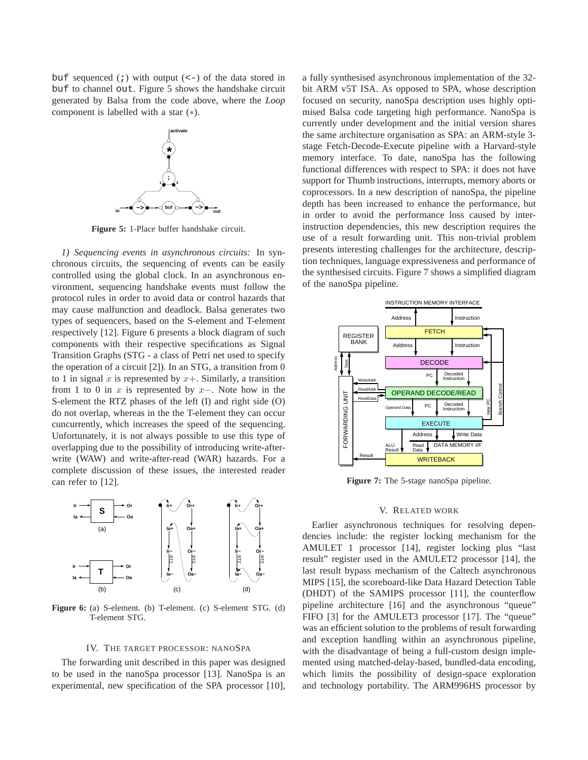buf sequenced  $(j)$  with output  $(\leq -)$  of the data stored in buf to channel out. Figure 5 shows the handshake circuit generated by Balsa from the code above, where the *Loop* component is labelled with a star (∗).



**Figure 5:** 1-Place buffer handshake circuit.

*1) Sequencing events in asynchronous circuits:* In synchronous circuits, the sequencing of events can be easily controlled using the global clock. In an asynchronous environment, sequencing handshake events must follow the protocol rules in order to avoid data or control hazards that may cause malfunction and deadlock. Balsa generates two types of sequencers, based on the S-element and T-element respectively [12]. Figure 6 presents a block diagram of such components with their respective specifications as Signal Transition Graphs (STG - a class of Petri net used to specify the operation of a circuit [2]). In an STG, a transition from 0 to 1 in signal x is represented by  $x+$ . Similarly, a transition from 1 to 0 in x is represented by  $x-$ . Note how in the S-element the RTZ phases of the left (I) and right side (O) do not overlap, whereas in the the T-element they can occur cuncurrently, which increases the speed of the sequencing. Unfortunately, it is not always possible to use this type of overlapping due to the possibility of introducing write-afterwrite (WAW) and write-after-read (WAR) hazards. For a complete discussion of these issues, the interested reader can refer to [12].



**Figure 6:** (a) S-element. (b) T-element. (c) S-element STG. (d) T-element STG.

## IV. THE TARGET PROCESSOR: NANOSPA

The forwarding unit described in this paper was designed to be used in the nanoSpa processor [13]. NanoSpa is an experimental, new specification of the SPA processor [10], a fully synthesised asynchronous implementation of the 32 bit ARM v5T ISA. As opposed to SPA, whose description focused on security, nanoSpa description uses highly optimised Balsa code targeting high performance. NanoSpa is currently under development and the initial version shares the same architecture organisation as SPA: an ARM-style 3 stage Fetch-Decode-Execute pipeline with a Harvard-style memory interface. To date, nanoSpa has the following functional differences with respect to SPA: it does not have support for Thumb instructions, interrupts, memory aborts or coprocessors. In a new description of nanoSpa, the pipeline depth has been increased to enhance the performance, but in order to avoid the performance loss caused by interinstruction dependencies, this new description requires the use of a result forwarding unit. This non-trivial problem presents interesting challenges for the architecture, description techniques, language expressiveness and performance of the synthesised circuits. Figure 7 shows a simplified diagram of the nanoSpa pipeline.



**Figure 7:** The 5-stage nanoSpa pipeline.

#### V. RELATED WORK

Earlier asynchronous techniques for resolving dependencies include: the register locking mechanism for the AMULET 1 processor [14], register locking plus "last result" register used in the AMULET2 processor [14], the last result bypass mechanism of the Caltech asynchronous MIPS [15], the scoreboard-like Data Hazard Detection Table (DHDT) of the SAMIPS processor [11], the counterflow pipeline architecture [16] and the asynchronous "queue" FIFO [3] for the AMULET3 processor [17]. The "queue" was an efficient solution to the problems of result forwarding and exception handling within an asynchronous pipeline, with the disadvantage of being a full-custom design implemented using matched-delay-based, bundled-data encoding, which limits the possibility of design-space exploration and technology portability. The ARM996HS processor by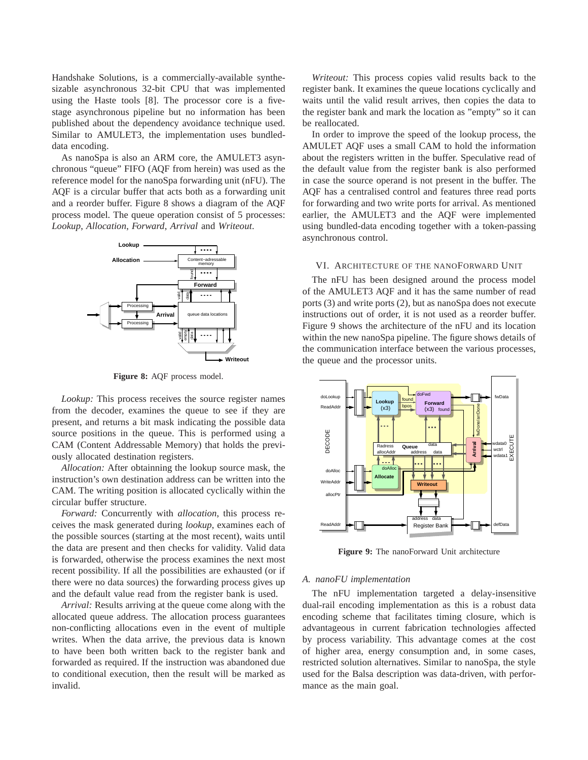Handshake Solutions, is a commercially-available synthesizable asynchronous 32-bit CPU that was implemented using the Haste tools [8]. The processor core is a fivestage asynchronous pipeline but no information has been published about the dependency avoidance technique used. Similar to AMULET3, the implementation uses bundleddata encoding.

As nanoSpa is also an ARM core, the AMULET3 asynchronous "queue" FIFO (AQF from herein) was used as the reference model for the nanoSpa forwarding unit (nFU). The AQF is a circular buffer that acts both as a forwarding unit and a reorder buffer. Figure 8 shows a diagram of the AQF process model. The queue operation consist of 5 processes: *Lookup*, *Allocation*, *Forward*, *Arrival* and *Writeout*.



**Figure 8:** AQF process model.

*Lookup:* This process receives the source register names from the decoder, examines the queue to see if they are present, and returns a bit mask indicating the possible data source positions in the queue. This is performed using a CAM (Content Addressable Memory) that holds the previously allocated destination registers.

*Allocation:* After obtainning the lookup source mask, the instruction's own destination address can be written into the CAM. The writing position is allocated cyclically within the circular buffer structure.

*Forward:* Concurrently with *allocation*, this process receives the mask generated during *lookup*, examines each of the possible sources (starting at the most recent), waits until the data are present and then checks for validity. Valid data is forwarded, otherwise the process examines the next most recent possibility. If all the possibilities are exhausted (or if there were no data sources) the forwarding process gives up and the default value read from the register bank is used.

*Arrival:* Results arriving at the queue come along with the allocated queue address. The allocation process guarantees non-conflicting allocations even in the event of multiple writes. When the data arrive, the previous data is known to have been both written back to the register bank and forwarded as required. If the instruction was abandoned due to conditional execution, then the result will be marked as invalid.

*Writeout:* This process copies valid results back to the register bank. It examines the queue locations cyclically and waits until the valid result arrives, then copies the data to the register bank and mark the location as "empty" so it can be reallocated.

In order to improve the speed of the lookup process, the AMULET AQF uses a small CAM to hold the information about the registers written in the buffer. Speculative read of the default value from the register bank is also performed in case the source operand is not present in the buffer. The AQF has a centralised control and features three read ports for forwarding and two write ports for arrival. As mentioned earlier, the AMULET3 and the AQF were implemented using bundled-data encoding together with a token-passing asynchronous control.

# VI. ARCHITECTURE OF THE NANOFORWARD UNIT

The nFU has been designed around the process model of the AMULET3 AQF and it has the same number of read ports (3) and write ports (2), but as nanoSpa does not execute instructions out of order, it is not used as a reorder buffer. Figure 9 shows the architecture of the nFU and its location within the new nanoSpa pipeline. The figure shows details of the communication interface between the various processes, the queue and the processor units.



**Figure 9:** The nanoForward Unit architecture

# *A. nanoFU implementation*

The nFU implementation targeted a delay-insensitive dual-rail encoding implementation as this is a robust data encoding scheme that facilitates timing closure, which is advantageous in current fabrication technologies affected by process variability. This advantage comes at the cost of higher area, energy consumption and, in some cases, restricted solution alternatives. Similar to nanoSpa, the style used for the Balsa description was data-driven, with performance as the main goal.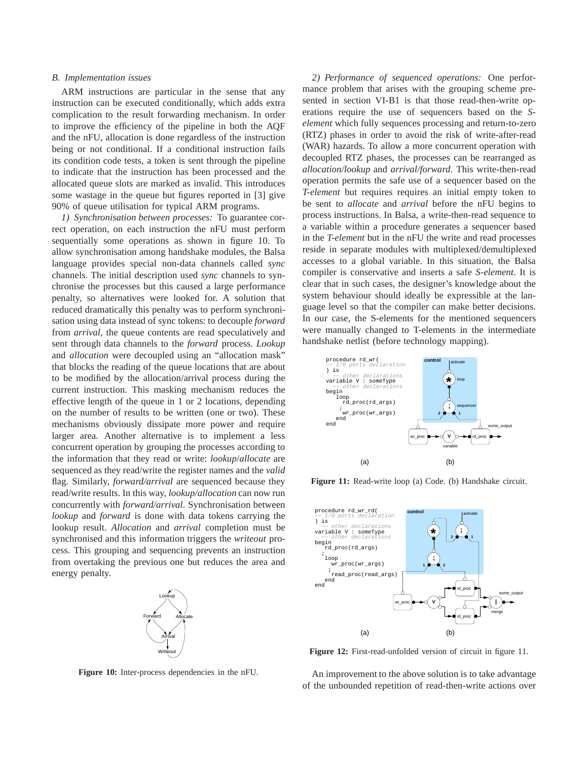## *B. Implementation issues*

ARM instructions are particular in the sense that any instruction can be executed conditionally, which adds extra complication to the result forwarding mechanism. In order to improve the efficiency of the pipeline in both the AQF and the nFU, allocation is done regardless of the instruction being or not conditional. If a conditional instruction fails its condition code tests, a token is sent through the pipeline to indicate that the instruction has been processed and the allocated queue slots are marked as invalid. This introduces some wastage in the queue but figures reported in [3] give 90% of queue utilisation for typical ARM programs.

*1) Synchronisation between processes:* To guarantee correct operation, on each instruction the nFU must perform sequentially some operations as shown in figure 10. To allow synchronisation among handshake modules, the Balsa language provides special non-data channels called *sync* channels. The initial description used *sync* channels to synchronise the processes but this caused a large performance penalty, so alternatives were looked for. A solution that reduced dramatically this penalty was to perform synchronisation using data instead of sync tokens: to decouple *forward* from *arrival*, the queue contents are read speculatively and sent through data channels to the *forward* process. *Lookup* and *allocation* were decoupled using an "allocation mask" that blocks the reading of the queue locations that are about to be modified by the allocation/arrival process during the current instruction. This masking mechanism reduces the effective length of the queue in 1 or 2 locations, depending on the number of results to be written (one or two). These mechanisms obviously dissipate more power and require larger area. Another alternative is to implement a less concurrent operation by grouping the processes according to the information that they read or write: *lookup*/*allocate* are sequenced as they read/write the register names and the *valid* flag. Similarly, *forward/arrival* are sequenced because they read/write results. In this way, *lookup/allocation* can now run concurrently with *forward/arrival*. Synchronisation between *lookup* and *forward* is done with data tokens carrying the lookup result. *Allocation* and *arrival* completion must be synchronised and this information triggers the *writeout* process. This grouping and sequencing prevents an instruction from overtaking the previous one but reduces the area and energy penalty.



**Figure 10:** Inter-process dependencies in the nFU.

*2) Performance of sequenced operations:* One performance problem that arises with the grouping scheme presented in section VI-B1 is that those read-then-write operations require the use of sequencers based on the *Selement* which fully sequences processing and return-to-zero (RTZ) phases in order to avoid the risk of write-after-read (WAR) hazards. To allow a more concurrent operation with decoupled RTZ phases, the processes can be rearranged as *allocation/lookup* and *arrival/forward*. This write-then-read operation permits the safe use of a sequencer based on the *T-element* but requires requires an initial empty token to be sent to *allocate* and *arrival* before the nFU begins to process instructions. In Balsa, a write-then-read sequence to a variable within a procedure generates a sequencer based in the *T-element* but in the nFU the write and read processes reside in separate modules with multiplexed/demultiplexed accesses to a global variable. In this situation, the Balsa compiler is conservative and inserts a safe *S-element*. It is clear that in such cases, the designer's knowledge about the system behaviour should ideally be expressible at the language level so that the compiler can make better decisions. In our case, the S-elements for the mentioned sequencers were manually changed to T-elements in the intermediate handshake netlist (before technology mapping).



**Figure 11:** Read-write loop (a) Code. (b) Handshake circuit.



**Figure 12:** First-read-unfolded version of circuit in figure 11.

An improvement to the above solution is to take advantage of the unbounded repetition of read-then-write actions over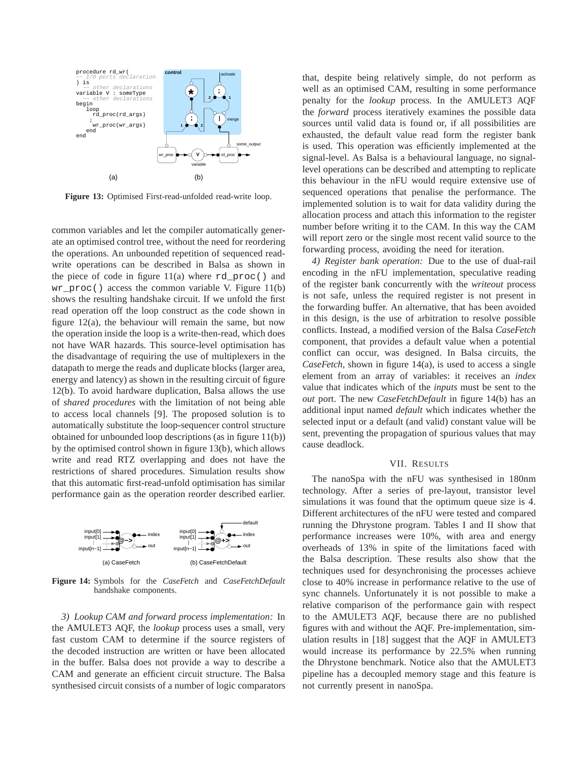

**Figure 13:** Optimised First-read-unfolded read-write loop.

common variables and let the compiler automatically generate an optimised control tree, without the need for reordering the operations. An unbounded repetition of sequenced readwrite operations can be described in Balsa as shown in the piece of code in figure  $11(a)$  where rd proc() and wr\_proc() access the common variable V. Figure  $11(b)$ shows the resulting handshake circuit. If we unfold the first read operation off the loop construct as the code shown in figure 12(a), the behaviour will remain the same, but now the operation inside the loop is a write-then-read, which does not have WAR hazards. This source-level optimisation has the disadvantage of requiring the use of multiplexers in the datapath to merge the reads and duplicate blocks (larger area, energy and latency) as shown in the resulting circuit of figure 12(b). To avoid hardware duplication, Balsa allows the use of *shared procedures* with the limitation of not being able to access local channels [9]. The proposed solution is to automatically substitute the loop-sequencer control structure obtained for unbounded loop descriptions (as in figure 11(b)) by the optimised control shown in figure 13(b), which allows write and read RTZ overlapping and does not have the restrictions of shared procedures. Simulation results show that this automatic first-read-unfold optimisation has similar performance gain as the operation reorder described earlier.



**Figure 14:** Symbols for the *CaseFetch* and *CaseFetchDefault* handshake components.

*3) Lookup CAM and forward process implementation:* In the AMULET3 AQF, the *lookup* process uses a small, very fast custom CAM to determine if the source registers of the decoded instruction are written or have been allocated in the buffer. Balsa does not provide a way to describe a CAM and generate an efficient circuit structure. The Balsa synthesised circuit consists of a number of logic comparators that, despite being relatively simple, do not perform as well as an optimised CAM, resulting in some performance penalty for the *lookup* process. In the AMULET3 AQF the *forward* process iteratively examines the possible data sources until valid data is found or, if all possibilities are exhausted, the default value read form the register bank is used. This operation was efficiently implemented at the signal-level. As Balsa is a behavioural language, no signallevel operations can be described and attempting to replicate this behaviour in the nFU would require extensive use of sequenced operations that penalise the performance. The implemented solution is to wait for data validity during the allocation process and attach this information to the register number before writing it to the CAM. In this way the CAM will report zero or the single most recent valid source to the forwarding process, avoiding the need for iteration.

*4) Register bank operation:* Due to the use of dual-rail encoding in the nFU implementation, speculative reading of the register bank concurrently with the *writeout* process is not safe, unless the required register is not present in the forwarding buffer. An alternative, that has been avoided in this design, is the use of arbitration to resolve possible conflicts. Instead, a modified version of the Balsa *CaseFetch* component, that provides a default value when a potential conflict can occur, was designed. In Balsa circuits, the *CaseFetch*, shown in figure 14(a), is used to access a single element from an array of variables: it receives an *index* value that indicates which of the *inputs* must be sent to the *out* port. The new *CaseFetchDefault* in figure 14(b) has an additional input named *default* which indicates whether the selected input or a default (and valid) constant value will be sent, preventing the propagation of spurious values that may cause deadlock.

# VII. RESULTS

The nanoSpa with the nFU was synthesised in 180nm technology. After a series of pre-layout, transistor level simulations it was found that the optimum queue size is 4. Different architectures of the nFU were tested and compared running the Dhrystone program. Tables I and II show that performance increases were 10%, with area and energy overheads of 13% in spite of the limitations faced with the Balsa description. These results also show that the techniques used for desynchronising the processes achieve close to 40% increase in performance relative to the use of sync channels. Unfortunately it is not possible to make a relative comparison of the performance gain with respect to the AMULET3 AQF, because there are no published figures with and without the AQF. Pre-implementation, simulation results in [18] suggest that the AQF in AMULET3 would increase its performance by 22.5% when running the Dhrystone benchmark. Notice also that the AMULET3 pipeline has a decoupled memory stage and this feature is not currently present in nanoSpa.